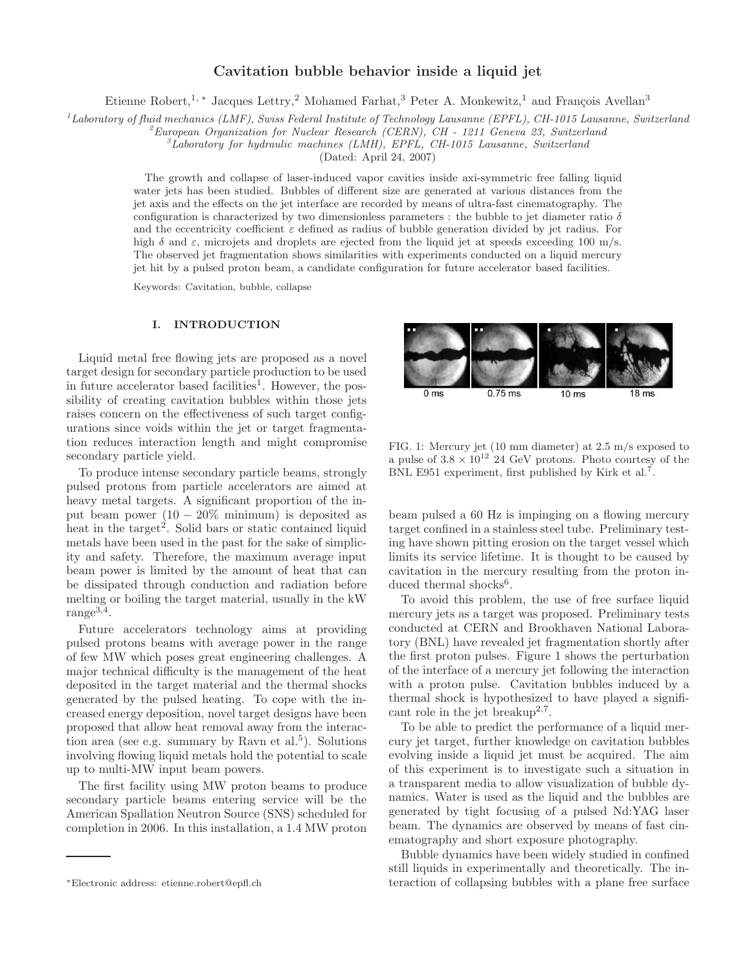## Cavitation bubble behavior inside a liquid jet

Etienne Robert,<sup>1, \*</sup> Jacques Lettry,<sup>2</sup> Mohamed Farhat,<sup>3</sup> Peter A. Monkewitz,<sup>1</sup> and François Avellan<sup>3</sup>

 $^{1}$ Laboratory of fluid mechanics (LMF), Swiss Federal Institute of Technology Lausanne (EPFL), CH-1015 Lausanne, Switzerland

 $^{2}$ European Organization for Nuclear Research (CERN), CH - 1211 Geneva 23, Switzerland

 ${}^3L$ aboratory for hydraulic machines (LMH), EPFL, CH-1015 Lausanne, Switzerland

(Dated: April 24, 2007)

The growth and collapse of laser-induced vapor cavities inside axi-symmetric free falling liquid water jets has been studied. Bubbles of different size are generated at various distances from the jet axis and the effects on the jet interface are recorded by means of ultra-fast cinematography. The configuration is characterized by two dimensionless parameters : the bubble to jet diameter ratio  $\delta$ and the eccentricity coefficient  $\varepsilon$  defined as radius of bubble generation divided by jet radius. For high  $\delta$  and  $\varepsilon$ , microjets and droplets are ejected from the liquid jet at speeds exceeding 100 m/s. The observed jet fragmentation shows similarities with experiments conducted on a liquid mercury jet hit by a pulsed proton beam, a candidate configuration for future accelerator based facilities.

Keywords: Cavitation, bubble, collapse

## I. INTRODUCTION

Liquid metal free flowing jets are proposed as a novel target design for secondary particle production to be used in future accelerator based facilities<sup>1</sup>. However, the possibility of creating cavitation bubbles within those jets raises concern on the effectiveness of such target configurations since voids within the jet or target fragmentation reduces interaction length and might compromise secondary particle yield.

To produce intense secondary particle beams, strongly pulsed protons from particle accelerators are aimed at heavy metal targets. A significant proportion of the input beam power  $(10 - 20\% \text{ minimum})$  is deposited as heat in the target<sup>2</sup>. Solid bars or static contained liquid metals have been used in the past for the sake of simplicity and safety. Therefore, the maximum average input beam power is limited by the amount of heat that can be dissipated through conduction and radiation before melting or boiling the target material, usually in the kW range<sup>3,4</sup>.

Future accelerators technology aims at providing pulsed protons beams with average power in the range of few MW which poses great engineering challenges. A major technical difficulty is the management of the heat deposited in the target material and the thermal shocks generated by the pulsed heating. To cope with the increased energy deposition, novel target designs have been proposed that allow heat removal away from the interaction area (see e.g. summary by Ravn et al.<sup>5</sup>). Solutions involving flowing liquid metals hold the potential to scale up to multi-MW input beam powers.

The first facility using MW proton beams to produce secondary particle beams entering service will be the American Spallation Neutron Source (SNS) scheduled for completion in 2006. In this installation, a 1.4 MW proton



FIG. 1: Mercury jet (10 mm diameter) at 2.5 m/s exposed to a pulse of  $3.8 \times 10^{12}$  24 GeV protons. Photo courtesy of the BNL E951 experiment, first published by Kirk et al.<sup>7</sup>.

beam pulsed a 60 Hz is impinging on a flowing mercury target confined in a stainless steel tube. Preliminary testing have shown pitting erosion on the target vessel which limits its service lifetime. It is thought to be caused by cavitation in the mercury resulting from the proton induced thermal shocks<sup>6</sup>.

To avoid this problem, the use of free surface liquid mercury jets as a target was proposed. Preliminary tests conducted at CERN and Brookhaven National Laboratory (BNL) have revealed jet fragmentation shortly after the first proton pulses. Figure 1 shows the perturbation of the interface of a mercury jet following the interaction with a proton pulse. Cavitation bubbles induced by a thermal shock is hypothesized to have played a significant role in the jet breakup<sup>2,7</sup>.

To be able to predict the performance of a liquid mercury jet target, further knowledge on cavitation bubbles evolving inside a liquid jet must be acquired. The aim of this experiment is to investigate such a situation in a transparent media to allow visualization of bubble dynamics. Water is used as the liquid and the bubbles are generated by tight focusing of a pulsed Nd:YAG laser beam. The dynamics are observed by means of fast cinematography and short exposure photography.

Bubble dynamics have been widely studied in confined still liquids in experimentally and theoretically. The interaction of collapsing bubbles with a plane free surface

<sup>∗</sup>Electronic address: etienne.robert@epfl.ch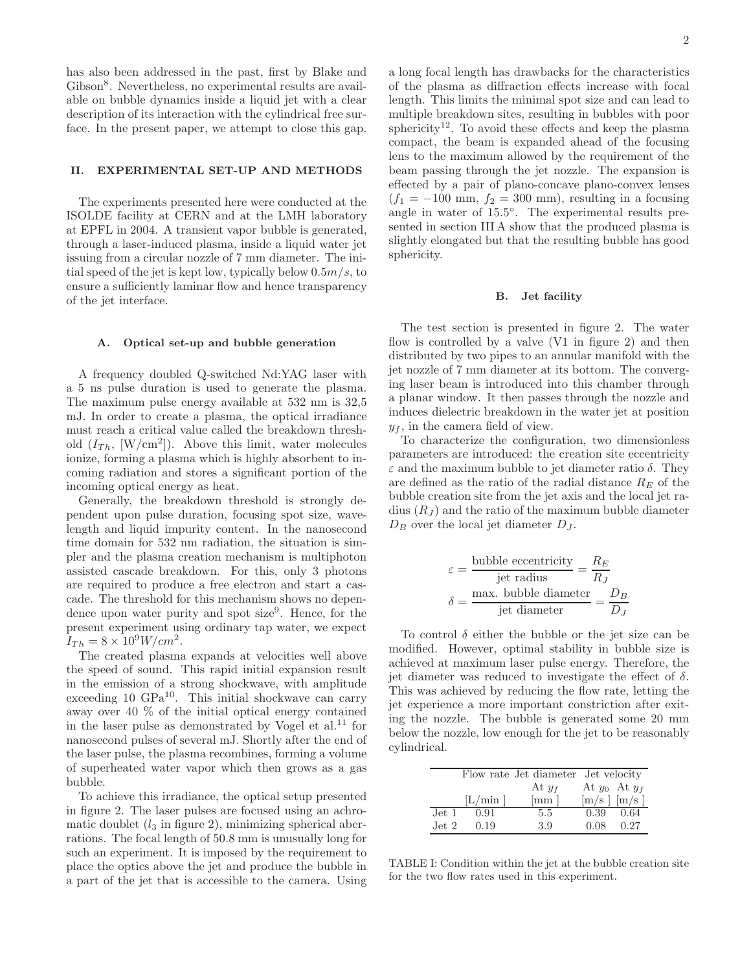has also been addressed in the past, first by Blake and Gibson<sup>8</sup>. Nevertheless, no experimental results are available on bubble dynamics inside a liquid jet with a clear description of its interaction with the cylindrical free surface. In the present paper, we attempt to close this gap.

#### II. EXPERIMENTAL SET-UP AND METHODS

The experiments presented here were conducted at the ISOLDE facility at CERN and at the LMH laboratory at EPFL in 2004. A transient vapor bubble is generated, through a laser-induced plasma, inside a liquid water jet issuing from a circular nozzle of 7 mm diameter. The initial speed of the jet is kept low, typically below  $0.5m/s$ , to ensure a sufficiently laminar flow and hence transparency of the jet interface.

## A. Optical set-up and bubble generation

A frequency doubled Q-switched Nd:YAG laser with a 5 ns pulse duration is used to generate the plasma. The maximum pulse energy available at 532 nm is 32,5 mJ. In order to create a plasma, the optical irradiance must reach a critical value called the breakdown threshold  $(I_{Th}, [W/cm^2])$ . Above this limit, water molecules ionize, forming a plasma which is highly absorbent to incoming radiation and stores a significant portion of the incoming optical energy as heat.

Generally, the breakdown threshold is strongly dependent upon pulse duration, focusing spot size, wavelength and liquid impurity content. In the nanosecond time domain for 532 nm radiation, the situation is simpler and the plasma creation mechanism is multiphoton assisted cascade breakdown. For this, only 3 photons are required to produce a free electron and start a cascade. The threshold for this mechanism shows no dependence upon water purity and spot size<sup>9</sup>. Hence, for the present experiment using ordinary tap water, we expect  $I_{Th} = 8 \times 10^9 W/cm^2$ .

The created plasma expands at velocities well above the speed of sound. This rapid initial expansion result in the emission of a strong shockwave, with amplitude exceeding 10  $GPa^{10}$ . This initial shockwave can carry away over 40 % of the initial optical energy contained in the laser pulse as demonstrated by Vogel et al.<sup>11</sup> for nanosecond pulses of several mJ. Shortly after the end of the laser pulse, the plasma recombines, forming a volume of superheated water vapor which then grows as a gas bubble.

To achieve this irradiance, the optical setup presented in figure 2. The laser pulses are focused using an achromatic doublet  $(l_3 \text{ in figure 2})$ , minimizing spherical aberrations. The focal length of 50.8 mm is unusually long for such an experiment. It is imposed by the requirement to place the optics above the jet and produce the bubble in a part of the jet that is accessible to the camera. Using

a long focal length has drawbacks for the characteristics of the plasma as diffraction effects increase with focal length. This limits the minimal spot size and can lead to multiple breakdown sites, resulting in bubbles with poor sphericity<sup>12</sup>. To avoid these effects and keep the plasma compact, the beam is expanded ahead of the focusing lens to the maximum allowed by the requirement of the beam passing through the jet nozzle. The expansion is effected by a pair of plano-concave plano-convex lenses  $(f_1 = -100$  mm,  $f_2 = 300$  mm), resulting in a focusing angle in water of 15.5°. The experimental results presented in section III A show that the produced plasma is slightly elongated but that the resulting bubble has good sphericity.

#### B. Jet facility

The test section is presented in figure 2. The water flow is controlled by a valve (V1 in figure 2) and then distributed by two pipes to an annular manifold with the jet nozzle of 7 mm diameter at its bottom. The converging laser beam is introduced into this chamber through a planar window. It then passes through the nozzle and induces dielectric breakdown in the water jet at position  $y_f$ , in the camera field of view.

To characterize the configuration, two dimensionless parameters are introduced: the creation site eccentricity  $\varepsilon$  and the maximum bubble to jet diameter ratio  $\delta$ . They are defined as the ratio of the radial distance  $R_E$  of the bubble creation site from the jet axis and the local jet radius  $(R_J)$  and the ratio of the maximum bubble diameter  $D_B$  over the local jet diameter  $D_J$ .

$$
\varepsilon = \frac{\text{bubble eccentricity}}{\text{jet radius}} = \frac{R_E}{R_J}
$$

$$
\delta = \frac{\text{max. bubble diameter}}{\text{jet diameter}} = \frac{D_B}{D_J}
$$

To control  $\delta$  either the bubble or the jet size can be modified. However, optimal stability in bubble size is achieved at maximum laser pulse energy. Therefore, the jet diameter was reduced to investigate the effect of  $\delta$ . This was achieved by reducing the flow rate, letting the jet experience a more important constriction after exiting the nozzle. The bubble is generated some 20 mm below the nozzle, low enough for the jet to be reasonably cylindrical.

|                  |       | Flow rate Jet diameter Jet velocity |                   |      |
|------------------|-------|-------------------------------------|-------------------|------|
|                  |       | At $y_f$                            | At $y_0$ At $y_f$ |      |
|                  | L/min | mm                                  | $[m/s]$ $[m/s]$   |      |
| Jet 1            | 0.91  | 5.5                                 | 0.39              | 0.64 |
| Jet <sub>2</sub> | 0.19  | 3.9                                 | 0.08              | 0.27 |

TABLE I: Condition within the jet at the bubble creation site for the two flow rates used in this experiment.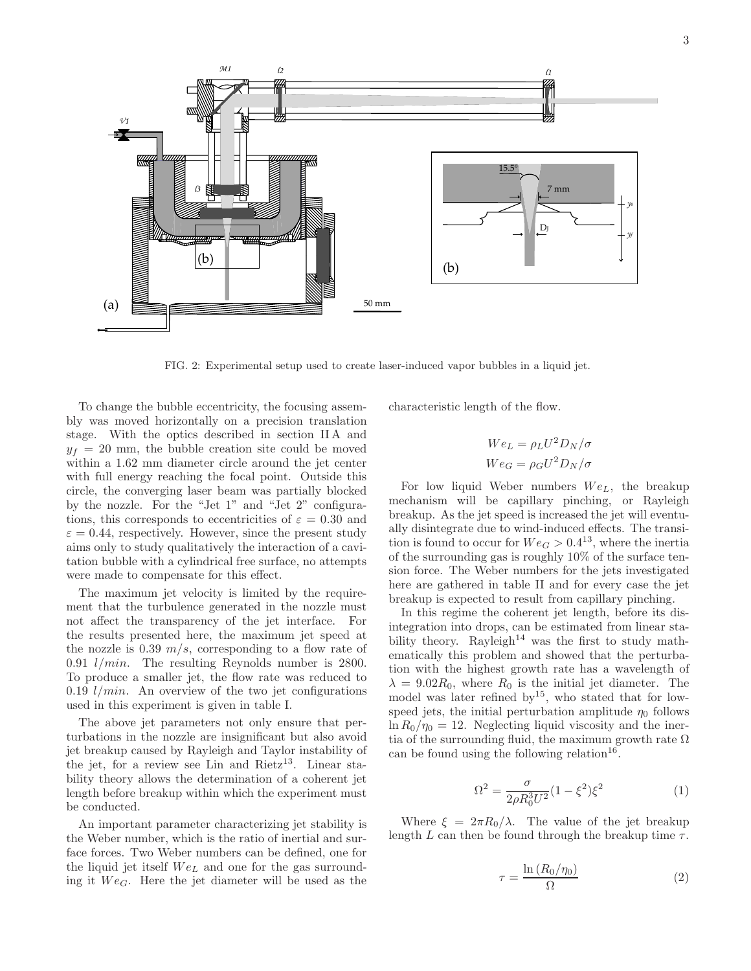

FIG. 2: Experimental setup used to create laser-induced vapor bubbles in a liquid jet.

To change the bubble eccentricity, the focusing assembly was moved horizontally on a precision translation stage. With the optics described in section II A and  $y_f = 20$  mm, the bubble creation site could be moved within a 1.62 mm diameter circle around the jet center with full energy reaching the focal point. Outside this circle, the converging laser beam was partially blocked by the nozzle. For the "Jet 1" and "Jet 2" configurations, this corresponds to eccentricities of  $\varepsilon = 0.30$  and  $\varepsilon = 0.44$ , respectively. However, since the present study aims only to study qualitatively the interaction of a cavitation bubble with a cylindrical free surface, no attempts were made to compensate for this effect.

The maximum jet velocity is limited by the requirement that the turbulence generated in the nozzle must not affect the transparency of the jet interface. For the results presented here, the maximum jet speed at the nozzle is 0.39  $m/s$ , corresponding to a flow rate of 0.91 l/min. The resulting Reynolds number is 2800. To produce a smaller jet, the flow rate was reduced to 0.19  $1/min$ . An overview of the two jet configurations used in this experiment is given in table I.

The above jet parameters not only ensure that perturbations in the nozzle are insignificant but also avoid jet breakup caused by Rayleigh and Taylor instability of the jet, for a review see Lin and  $Rietz^{13}$ . Linear stability theory allows the determination of a coherent jet length before breakup within which the experiment must be conducted.

An important parameter characterizing jet stability is the Weber number, which is the ratio of inertial and surface forces. Two Weber numbers can be defined, one for the liquid jet itself  $We<sub>L</sub>$  and one for the gas surrounding it  $We$ . Here the jet diameter will be used as the

characteristic length of the flow.

$$
We_L = \rho_L U^2 D_N / \sigma
$$
  

$$
We_G = \rho_G U^2 D_N / \sigma
$$

For low liquid Weber numbers  $We_L$ , the breakup mechanism will be capillary pinching, or Rayleigh breakup. As the jet speed is increased the jet will eventually disintegrate due to wind-induced effects. The transition is found to occur for  $We_G > 0.4^{13}$ , where the inertia of the surrounding gas is roughly 10% of the surface tension force. The Weber numbers for the jets investigated here are gathered in table II and for every case the jet breakup is expected to result from capillary pinching.

In this regime the coherent jet length, before its disintegration into drops, can be estimated from linear stability theory. Rayleigh<sup>14</sup> was the first to study mathematically this problem and showed that the perturbation with the highest growth rate has a wavelength of  $\lambda = 9.02R_0$ , where  $R_0$  is the initial jet diameter. The model was later refined by<sup>15</sup>, who stated that for lowspeed jets, the initial perturbation amplitude  $\eta_0$  follows  $\ln R_0/\eta_0 = 12$ . Neglecting liquid viscosity and the inertia of the surrounding fluid, the maximum growth rate  $\Omega$ can be found using the following relation<sup>16</sup>.

$$
\Omega^2 = \frac{\sigma}{2\rho R_0^3 U^2} (1 - \xi^2) \xi^2 \tag{1}
$$

Where  $\xi = 2\pi R_0/\lambda$ . The value of the jet breakup length  $L$  can then be found through the breakup time  $\tau$ .

$$
\tau = \frac{\ln\left(R_0/\eta_0\right)}{\Omega} \tag{2}
$$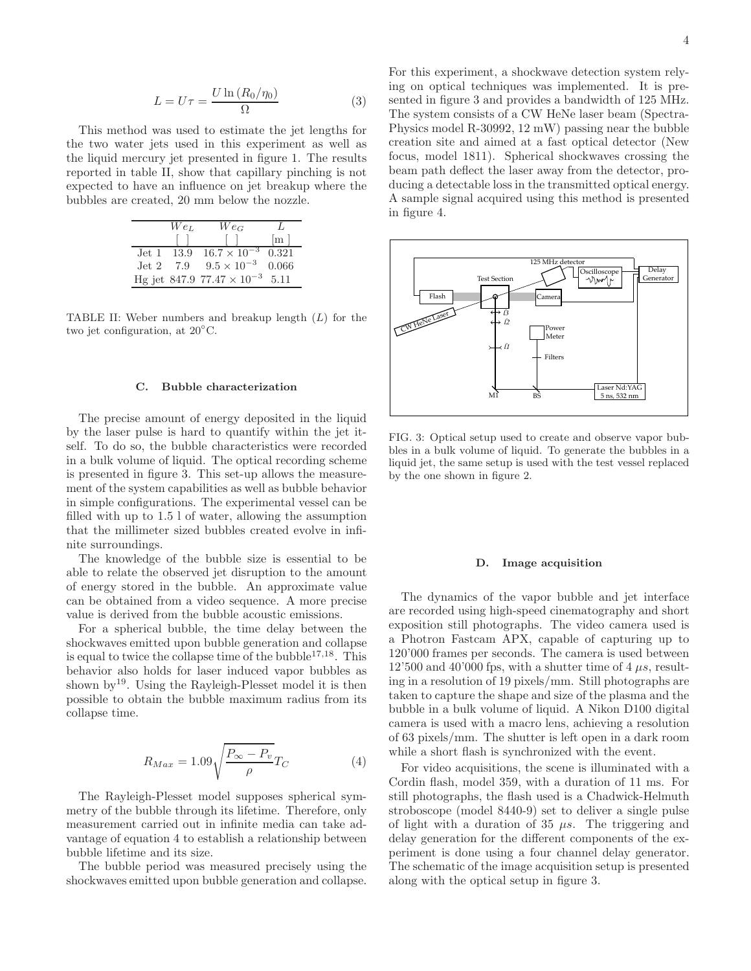$$
L = U\tau = \frac{U \ln (R_0/\eta_0)}{\Omega} \tag{3}
$$

This method was used to estimate the jet lengths for the two water jets used in this experiment as well as the liquid mercury jet presented in figure 1. The results reported in table II, show that capillary pinching is not expected to have an influence on jet breakup where the bubbles are created, 20 mm below the nozzle.

| $We_L$ | $We_G$                               |                     |
|--------|--------------------------------------|---------------------|
|        |                                      | $\lfloor m \rfloor$ |
|        | Jet 1 $13.9$ $16.7 \times 10^{-3}$   | 0.321               |
|        | Jet 2 7.9 $9.5 \times 10^{-3}$ 0.066 |                     |
|        | Hg jet 847.9 $77.47 \times 10^{-3}$  | 5.11                |

TABLE II: Weber numbers and breakup length (L) for the two jet configuration, at 20◦C.

#### C. Bubble characterization

The precise amount of energy deposited in the liquid by the laser pulse is hard to quantify within the jet itself. To do so, the bubble characteristics were recorded in a bulk volume of liquid. The optical recording scheme is presented in figure 3. This set-up allows the measurement of the system capabilities as well as bubble behavior in simple configurations. The experimental vessel can be filled with up to 1.5 l of water, allowing the assumption that the millimeter sized bubbles created evolve in infinite surroundings.

The knowledge of the bubble size is essential to be able to relate the observed jet disruption to the amount of energy stored in the bubble. An approximate value can be obtained from a video sequence. A more precise value is derived from the bubble acoustic emissions.

For a spherical bubble, the time delay between the shockwaves emitted upon bubble generation and collapse is equal to twice the collapse time of the bubble<sup>17,18</sup>. This behavior also holds for laser induced vapor bubbles as shown by<sup>19</sup>. Using the Rayleigh-Plesset model it is then possible to obtain the bubble maximum radius from its collapse time.

$$
R_{Max} = 1.09 \sqrt{\frac{P_{\infty} - P_v}{\rho}} T_C \tag{4}
$$

The Rayleigh-Plesset model supposes spherical symmetry of the bubble through its lifetime. Therefore, only measurement carried out in infinite media can take advantage of equation 4 to establish a relationship between bubble lifetime and its size.

The bubble period was measured precisely using the shockwaves emitted upon bubble generation and collapse.

For this experiment, a shockwave detection system relying on optical techniques was implemented. It is presented in figure 3 and provides a bandwidth of 125 MHz. The system consists of a CW HeNe laser beam (Spectra-Physics model R-30992, 12 mW) passing near the bubble creation site and aimed at a fast optical detector (New focus, model 1811). Spherical shockwaves crossing the beam path deflect the laser away from the detector, producing a detectable loss in the transmitted optical energy. A sample signal acquired using this method is presented in figure 4.



FIG. 3: Optical setup used to create and observe vapor bubbles in a bulk volume of liquid. To generate the bubbles in a liquid jet, the same setup is used with the test vessel replaced by the one shown in figure 2.

#### D. Image acquisition

The dynamics of the vapor bubble and jet interface are recorded using high-speed cinematography and short exposition still photographs. The video camera used is a Photron Fastcam APX, capable of capturing up to 120'000 frames per seconds. The camera is used between  $12'500$  and  $40'000$  fps, with a shutter time of  $4 \mu s$ , resulting in a resolution of 19 pixels/mm. Still photographs are taken to capture the shape and size of the plasma and the bubble in a bulk volume of liquid. A Nikon D100 digital camera is used with a macro lens, achieving a resolution of 63 pixels/mm. The shutter is left open in a dark room while a short flash is synchronized with the event.

For video acquisitions, the scene is illuminated with a Cordin flash, model 359, with a duration of 11 ms. For still photographs, the flash used is a Chadwick-Helmuth stroboscope (model 8440-9) set to deliver a single pulse of light with a duration of 35  $\mu s$ . The triggering and delay generation for the different components of the experiment is done using a four channel delay generator. The schematic of the image acquisition setup is presented along with the optical setup in figure 3.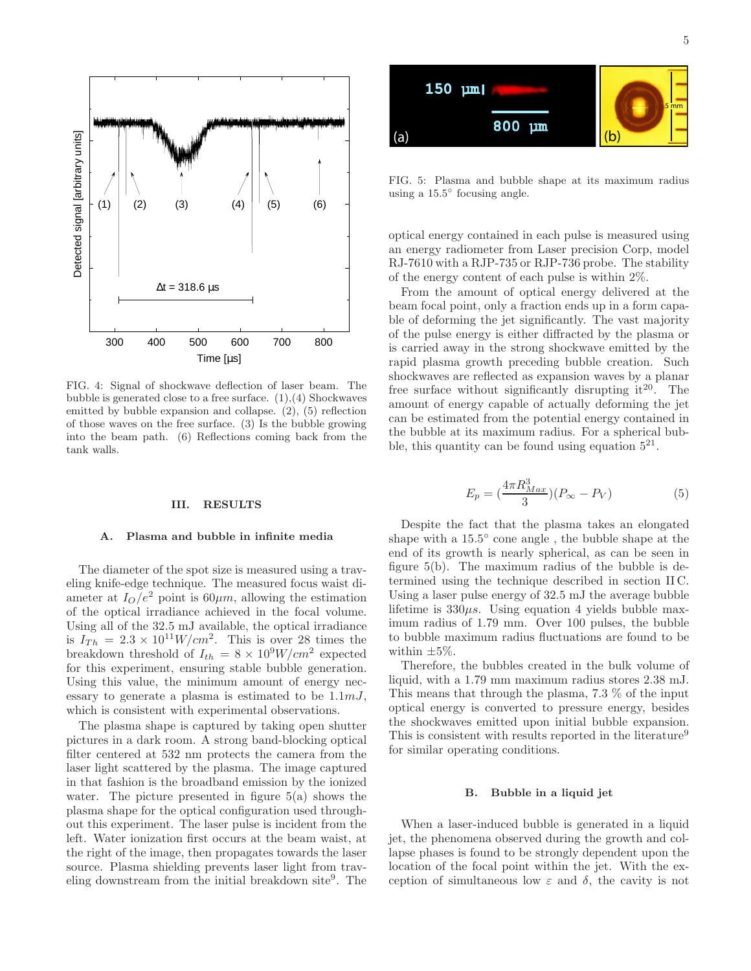

FIG. 4: Signal of shockwave deflection of laser beam. The bubble is generated close to a free surface.  $(1),(4)$  Shockwaves emitted by bubble expansion and collapse. (2), (5) reflection of those waves on the free surface. (3) Is the bubble growing into the beam path. (6) Reflections coming back from the tank walls.

#### III. RESULTS

#### A. Plasma and bubble in infinite media

The diameter of the spot size is measured using a traveling knife-edge technique. The measured focus waist diameter at  $I_O/e^2$  point is  $60 \mu m$ , allowing the estimation of the optical irradiance achieved in the focal volume. Using all of the 32.5 mJ available, the optical irradiance is  $I_{Th} = 2.3 \times 10^{11} W/cm^2$ . This is over 28 times the breakdown threshold of  $I_{th} = 8 \times 10^9 W/cm^2$  expected for this experiment, ensuring stable bubble generation. Using this value, the minimum amount of energy necessary to generate a plasma is estimated to be  $1.1 \, mJ$ , which is consistent with experimental observations.

The plasma shape is captured by taking open shutter pictures in a dark room. A strong band-blocking optical filter centered at 532 nm protects the camera from the laser light scattered by the plasma. The image captured in that fashion is the broadband emission by the ionized water. The picture presented in figure 5(a) shows the plasma shape for the optical configuration used throughout this experiment. The laser pulse is incident from the left. Water ionization first occurs at the beam waist, at the right of the image, then propagates towards the laser source. Plasma shielding prevents laser light from traveling downstream from the initial breakdown site<sup>9</sup> . The



FIG. 5: Plasma and bubble shape at its maximum radius using a  $15.5^{\circ}$  focusing angle.

optical energy contained in each pulse is measured using an energy radiometer from Laser precision Corp, model RJ-7610 with a RJP-735 or RJP-736 probe. The stability of the energy content of each pulse is within 2%.

From the amount of optical energy delivered at the beam focal point, only a fraction ends up in a form capable of deforming the jet significantly. The vast majority of the pulse energy is either diffracted by the plasma or is carried away in the strong shockwave emitted by the rapid plasma growth preceding bubble creation. Such shockwaves are reflected as expansion waves by a planar free surface without significantly disrupting it  $20$ . The amount of energy capable of actually deforming the jet can be estimated from the potential energy contained in the bubble at its maximum radius. For a spherical bubble, this quantity can be found using equation  $5^{21}$ .

$$
E_p = \left(\frac{4\pi R_{Max}^3}{3}\right)(P_{\infty} - P_V) \tag{5}
$$

Despite the fact that the plasma takes an elongated shape with a 15.5° cone angle, the bubble shape at the end of its growth is nearly spherical, as can be seen in figure 5(b). The maximum radius of the bubble is determined using the technique described in section II C. Using a laser pulse energy of 32.5 mJ the average bubble lifetime is  $330\mu s$ . Using equation 4 yields bubble maximum radius of 1.79 mm. Over 100 pulses, the bubble to bubble maximum radius fluctuations are found to be within  $\pm 5\%$ .

Therefore, the bubbles created in the bulk volume of liquid, with a 1.79 mm maximum radius stores 2.38 mJ. This means that through the plasma, 7.3 % of the input optical energy is converted to pressure energy, besides the shockwaves emitted upon initial bubble expansion. This is consistent with results reported in the literature<sup>9</sup> for similar operating conditions.

#### B. Bubble in a liquid jet

When a laser-induced bubble is generated in a liquid jet, the phenomena observed during the growth and collapse phases is found to be strongly dependent upon the location of the focal point within the jet. With the exception of simultaneous low  $\varepsilon$  and  $\delta$ , the cavity is not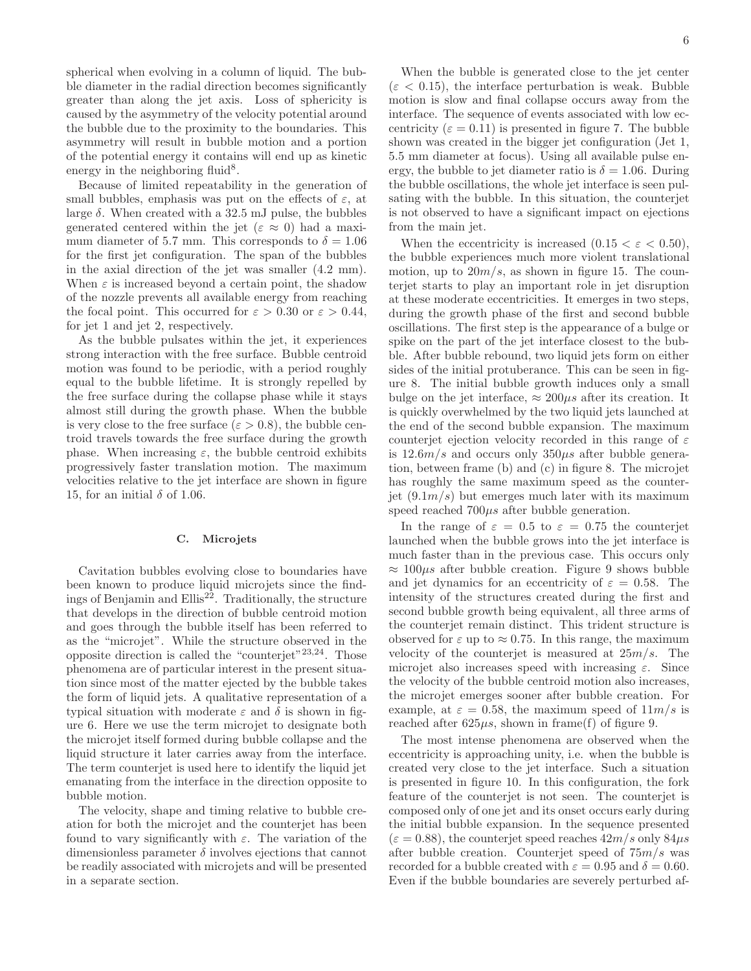spherical when evolving in a column of liquid. The bubble diameter in the radial direction becomes significantly greater than along the jet axis. Loss of sphericity is caused by the asymmetry of the velocity potential around the bubble due to the proximity to the boundaries. This asymmetry will result in bubble motion and a portion of the potential energy it contains will end up as kinetic energy in the neighboring fluid<sup>8</sup>.

Because of limited repeatability in the generation of small bubbles, emphasis was put on the effects of  $\varepsilon$ , at large  $\delta$ . When created with a 32.5 mJ pulse, the bubbles generated centered within the jet  $(\varepsilon \approx 0)$  had a maximum diameter of 5.7 mm. This corresponds to  $\delta = 1.06$ for the first jet configuration. The span of the bubbles in the axial direction of the jet was smaller (4.2 mm). When  $\varepsilon$  is increased beyond a certain point, the shadow of the nozzle prevents all available energy from reaching the focal point. This occurred for  $\varepsilon > 0.30$  or  $\varepsilon > 0.44$ , for jet 1 and jet 2, respectively.

As the bubble pulsates within the jet, it experiences strong interaction with the free surface. Bubble centroid motion was found to be periodic, with a period roughly equal to the bubble lifetime. It is strongly repelled by the free surface during the collapse phase while it stays almost still during the growth phase. When the bubble is very close to the free surface ( $\varepsilon > 0.8$ ), the bubble centroid travels towards the free surface during the growth phase. When increasing  $\varepsilon$ , the bubble centroid exhibits progressively faster translation motion. The maximum velocities relative to the jet interface are shown in figure 15, for an initial  $\delta$  of 1.06.

#### C. Microjets

Cavitation bubbles evolving close to boundaries have been known to produce liquid microjets since the findings of Benjamin and Ellis<sup>22</sup>. Traditionally, the structure that develops in the direction of bubble centroid motion and goes through the bubble itself has been referred to as the "microjet". While the structure observed in the opposite direction is called the "counterjet"23,24. Those phenomena are of particular interest in the present situation since most of the matter ejected by the bubble takes the form of liquid jets. A qualitative representation of a typical situation with moderate  $\varepsilon$  and  $\delta$  is shown in figure 6. Here we use the term microjet to designate both the microjet itself formed during bubble collapse and the liquid structure it later carries away from the interface. The term counterjet is used here to identify the liquid jet emanating from the interface in the direction opposite to bubble motion.

The velocity, shape and timing relative to bubble creation for both the microjet and the counterjet has been found to vary significantly with  $\varepsilon$ . The variation of the dimensionless parameter  $\delta$  involves ejections that cannot be readily associated with microjets and will be presented in a separate section.

When the bubble is generated close to the jet center  $(\varepsilon < 0.15)$ , the interface perturbation is weak. Bubble motion is slow and final collapse occurs away from the interface. The sequence of events associated with low eccentricity ( $\varepsilon = 0.11$ ) is presented in figure 7. The bubble shown was created in the bigger jet configuration (Jet 1, 5.5 mm diameter at focus). Using all available pulse energy, the bubble to jet diameter ratio is  $\delta = 1.06$ . During the bubble oscillations, the whole jet interface is seen pulsating with the bubble. In this situation, the counterjet is not observed to have a significant impact on ejections from the main jet.

When the eccentricity is increased  $(0.15 < \varepsilon < 0.50)$ , the bubble experiences much more violent translational motion, up to  $20m/s$ , as shown in figure 15. The counterjet starts to play an important role in jet disruption at these moderate eccentricities. It emerges in two steps, during the growth phase of the first and second bubble oscillations. The first step is the appearance of a bulge or spike on the part of the jet interface closest to the bubble. After bubble rebound, two liquid jets form on either sides of the initial protuberance. This can be seen in figure 8. The initial bubble growth induces only a small bulge on the jet interface,  $\approx 200 \mu s$  after its creation. It is quickly overwhelmed by the two liquid jets launched at the end of the second bubble expansion. The maximum counterjet ejection velocity recorded in this range of  $\varepsilon$ is  $12.6m/s$  and occurs only  $350\mu s$  after bubble generation, between frame (b) and (c) in figure 8. The microjet has roughly the same maximum speed as the counterjet  $(9.1m/s)$  but emerges much later with its maximum speed reached  $700\mu s$  after bubble generation.

In the range of  $\varepsilon = 0.5$  to  $\varepsilon = 0.75$  the counterjet launched when the bubble grows into the jet interface is much faster than in the previous case. This occurs only  $\approx 100 \mu s$  after bubble creation. Figure 9 shows bubble and jet dynamics for an eccentricity of  $\varepsilon = 0.58$ . The intensity of the structures created during the first and second bubble growth being equivalent, all three arms of the counterjet remain distinct. This trident structure is observed for  $\varepsilon$  up to  $\approx 0.75$ . In this range, the maximum velocity of the counterjet is measured at  $25m/s$ . The microjet also increases speed with increasing  $\varepsilon$ . Since the velocity of the bubble centroid motion also increases, the microjet emerges sooner after bubble creation. For example, at  $\varepsilon = 0.58$ , the maximum speed of  $11m/s$  is reached after  $625\mu s$ , shown in frame(f) of figure 9.

The most intense phenomena are observed when the eccentricity is approaching unity, i.e. when the bubble is created very close to the jet interface. Such a situation is presented in figure 10. In this configuration, the fork feature of the counterjet is not seen. The counterjet is composed only of one jet and its onset occurs early during the initial bubble expansion. In the sequence presented  $(\varepsilon = 0.88)$ , the counterjet speed reaches  $42m/s$  only  $84\mu s$ after bubble creation. Counterjet speed of  $75m/s$  was recorded for a bubble created with  $\varepsilon = 0.95$  and  $\delta = 0.60$ . Even if the bubble boundaries are severely perturbed af-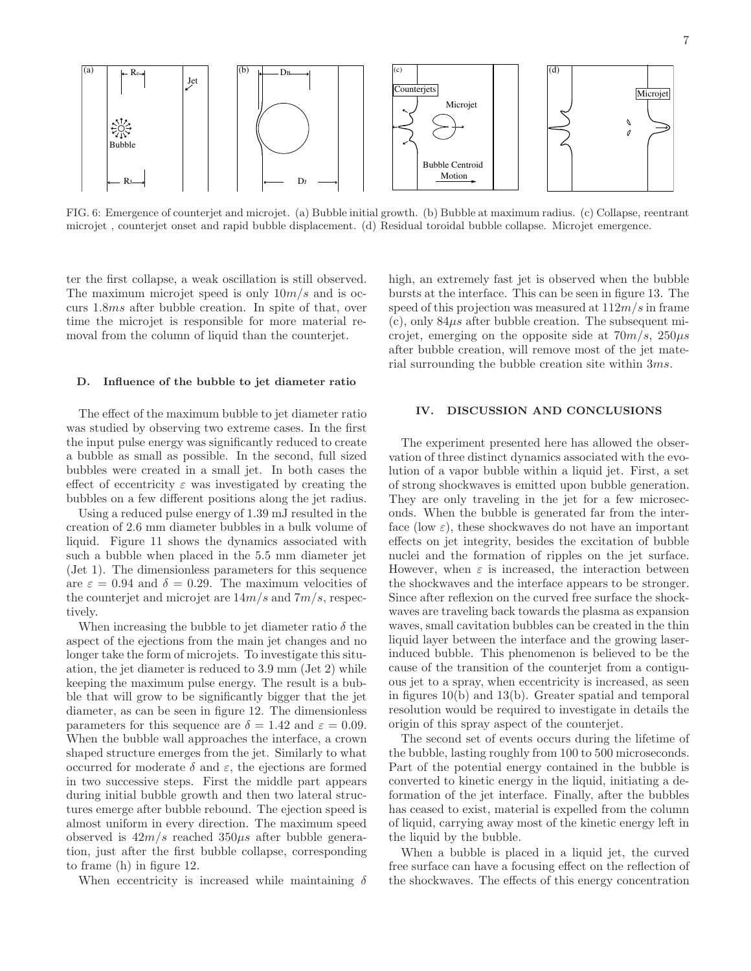

FIG. 6: Emergence of counterjet and microjet. (a) Bubble initial growth. (b) Bubble at maximum radius. (c) Collapse, reentrant microjet , counterjet onset and rapid bubble displacement. (d) Residual toroidal bubble collapse. Microjet emergence.

ter the first collapse, a weak oscillation is still observed. The maximum microjet speed is only  $10m/s$  and is occurs 1.8ms after bubble creation. In spite of that, over time the microjet is responsible for more material removal from the column of liquid than the counterjet.

## D. Influence of the bubble to jet diameter ratio

The effect of the maximum bubble to jet diameter ratio was studied by observing two extreme cases. In the first the input pulse energy was significantly reduced to create a bubble as small as possible. In the second, full sized bubbles were created in a small jet. In both cases the effect of eccentricity  $\varepsilon$  was investigated by creating the bubbles on a few different positions along the jet radius.

Using a reduced pulse energy of 1.39 mJ resulted in the creation of 2.6 mm diameter bubbles in a bulk volume of liquid. Figure 11 shows the dynamics associated with such a bubble when placed in the 5.5 mm diameter jet  $(Jet 1)$ . The dimensionless parameters for this sequence are  $\varepsilon = 0.94$  and  $\delta = 0.29$ . The maximum velocities of the counterjet and microjet are  $14m/s$  and  $7m/s$ , respectively.

When increasing the bubble to jet diameter ratio  $\delta$  the aspect of the ejections from the main jet changes and no longer take the form of microjets. To investigate this situation, the jet diameter is reduced to 3.9 mm (Jet 2) while keeping the maximum pulse energy. The result is a bubble that will grow to be significantly bigger that the jet diameter, as can be seen in figure 12. The dimensionless parameters for this sequence are  $\delta = 1.42$  and  $\varepsilon = 0.09$ . When the bubble wall approaches the interface, a crown shaped structure emerges from the jet. Similarly to what occurred for moderate  $\delta$  and  $\varepsilon$ , the ejections are formed in two successive steps. First the middle part appears during initial bubble growth and then two lateral structures emerge after bubble rebound. The ejection speed is almost uniform in every direction. The maximum speed observed is  $42m/s$  reached  $350\mu s$  after bubble generation, just after the first bubble collapse, corresponding to frame (h) in figure 12.

When eccentricity is increased while maintaining  $\delta$ 

high, an extremely fast jet is observed when the bubble bursts at the interface. This can be seen in figure 13. The speed of this projection was measured at  $112m/s$  in frame  $(c)$ , only  $84\mu s$  after bubble creation. The subsequent microjet, emerging on the opposite side at  $70m/s$ ,  $250\mu s$ after bubble creation, will remove most of the jet material surrounding the bubble creation site within 3ms.

## IV. DISCUSSION AND CONCLUSIONS

The experiment presented here has allowed the observation of three distinct dynamics associated with the evolution of a vapor bubble within a liquid jet. First, a set of strong shockwaves is emitted upon bubble generation. They are only traveling in the jet for a few microseconds. When the bubble is generated far from the interface (low  $\varepsilon$ ), these shockwaves do not have an important effects on jet integrity, besides the excitation of bubble nuclei and the formation of ripples on the jet surface. However, when  $\varepsilon$  is increased, the interaction between the shockwaves and the interface appears to be stronger. Since after reflexion on the curved free surface the shockwaves are traveling back towards the plasma as expansion waves, small cavitation bubbles can be created in the thin liquid layer between the interface and the growing laserinduced bubble. This phenomenon is believed to be the cause of the transition of the counterjet from a contiguous jet to a spray, when eccentricity is increased, as seen in figures 10(b) and 13(b). Greater spatial and temporal resolution would be required to investigate in details the origin of this spray aspect of the counterjet.

The second set of events occurs during the lifetime of the bubble, lasting roughly from 100 to 500 microseconds. Part of the potential energy contained in the bubble is converted to kinetic energy in the liquid, initiating a deformation of the jet interface. Finally, after the bubbles has ceased to exist, material is expelled from the column of liquid, carrying away most of the kinetic energy left in the liquid by the bubble.

When a bubble is placed in a liquid jet, the curved free surface can have a focusing effect on the reflection of the shockwaves. The effects of this energy concentration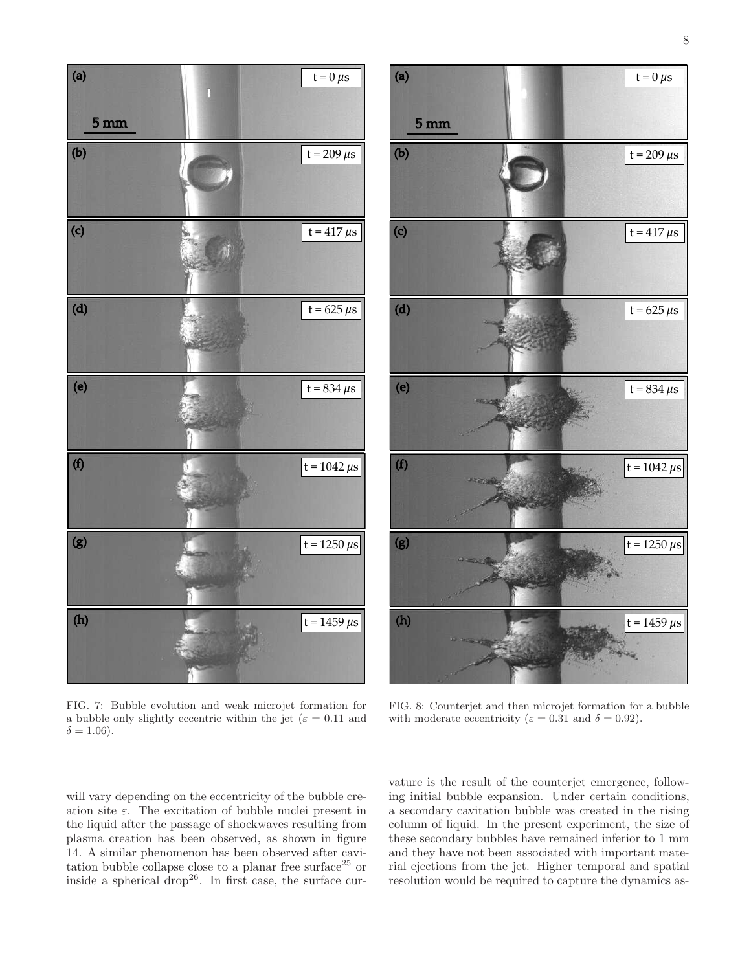



FIG. 7: Bubble evolution and weak microjet formation for a bubble only slightly eccentric within the jet ( $\varepsilon = 0.11$  and  $\delta = 1.06$ ).

FIG. 8: Counterjet and then microjet formation for a bubble with moderate eccentricity ( $\varepsilon = 0.31$  and  $\delta = 0.92$ ).

will vary depending on the eccentricity of the bubble creation site  $\varepsilon$ . The excitation of bubble nuclei present in the liquid after the passage of shockwaves resulting from plasma creation has been observed, as shown in figure 14. A similar phenomenon has been observed after cavitation bubble collapse close to a planar free surface<sup>25</sup> or inside a spherical drop<sup>26</sup>. In first case, the surface cur-

vature is the result of the counterjet emergence, following initial bubble expansion. Under certain conditions, a secondary cavitation bubble was created in the rising column of liquid. In the present experiment, the size of these secondary bubbles have remained inferior to 1 mm and they have not been associated with important material ejections from the jet. Higher temporal and spatial resolution would be required to capture the dynamics as-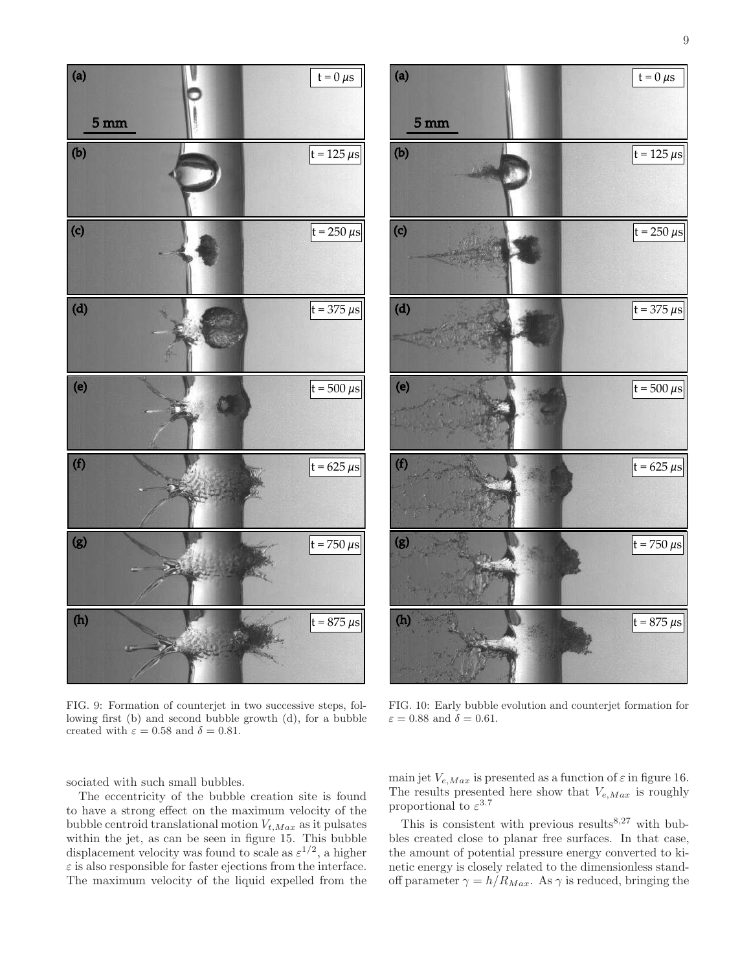

FIG. 9: Formation of counterjet in two successive steps, following first (b) and second bubble growth (d), for a bubble created with  $\varepsilon = 0.58$  and  $\delta = 0.81$ .

sociated with such small bubbles.

(b)

5 mm

(a)

(c)

(d)

(e)

(f)

(g)

(h)

The eccentricity of the bubble creation site is found to have a strong effect on the maximum velocity of the bubble centroid translational motion  $V_{t,Max}$  as it pulsates within the jet, as can be seen in figure 15. This bubble displacement velocity was found to scale as  $\varepsilon^{1/2}$ , a higher  $\varepsilon$  is also responsible for faster ejections from the interface. The maximum velocity of the liquid expelled from the

FIG. 10: Early bubble evolution and counterjet formation for  $\varepsilon = 0.88$  and  $\delta = 0.61$ .

main jet  $V_{e,Max}$  is presented as a function of  $\varepsilon$  in figure 16. The results presented here show that  $V_{e,Max}$  is roughly proportional to  $\varepsilon^{3.7}$ 

This is consistent with previous results  $8.27$  with bubbles created close to planar free surfaces. In that case, the amount of potential pressure energy converted to kinetic energy is closely related to the dimensionless standoff parameter  $\gamma = h/R_{Max}$ . As  $\gamma$  is reduced, bringing the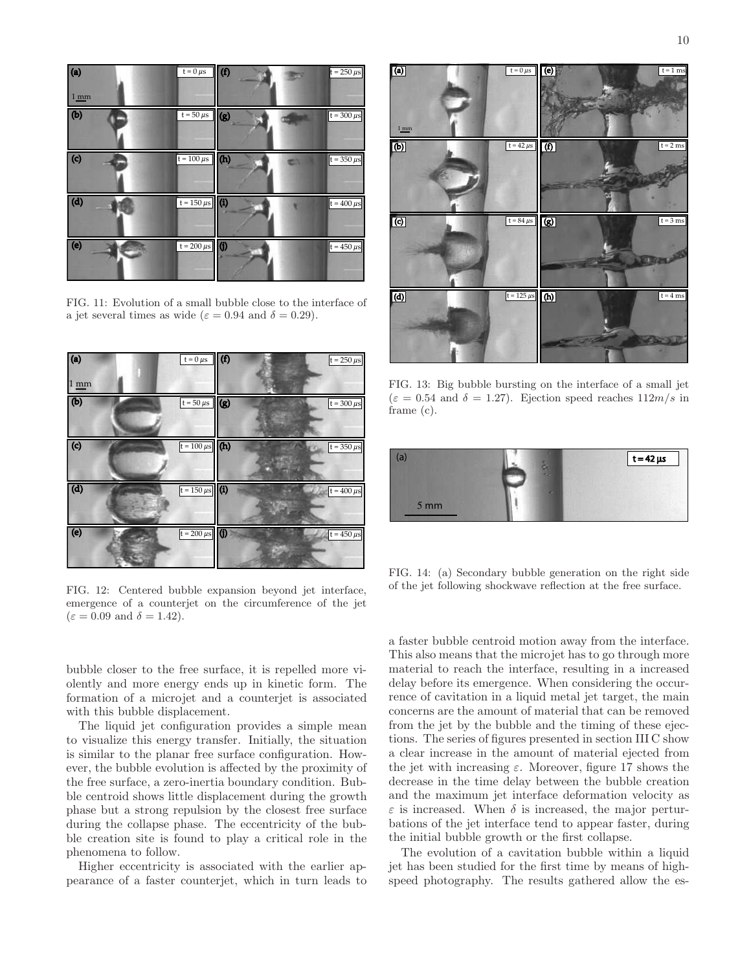



FIG. 11: Evolution of a small bubble close to the interface of a jet several times as wide ( $\varepsilon = 0.94$  and  $\delta = 0.29$ ).



FIG. 12: Centered bubble expansion beyond jet interface, emergence of a counterjet on the circumference of the jet  $(\varepsilon = 0.09 \text{ and } \delta = 1.42).$ 

bubble closer to the free surface, it is repelled more violently and more energy ends up in kinetic form. The formation of a microjet and a counterjet is associated with this bubble displacement.

The liquid jet configuration provides a simple mean to visualize this energy transfer. Initially, the situation is similar to the planar free surface configuration. However, the bubble evolution is affected by the proximity of the free surface, a zero-inertia boundary condition. Bubble centroid shows little displacement during the growth phase but a strong repulsion by the closest free surface during the collapse phase. The eccentricity of the bubble creation site is found to play a critical role in the phenomena to follow.

Higher eccentricity is associated with the earlier appearance of a faster counterjet, which in turn leads to



FIG. 13: Big bubble bursting on the interface of a small jet  $(\varepsilon = 0.54$  and  $\delta = 1.27)$ . Ejection speed reaches  $112m/s$  in frame (c).



FIG. 14: (a) Secondary bubble generation on the right side of the jet following shockwave reflection at the free surface.

a faster bubble centroid motion away from the interface. This also means that the microjet has to go through more material to reach the interface, resulting in a increased delay before its emergence. When considering the occurrence of cavitation in a liquid metal jet target, the main concerns are the amount of material that can be removed from the jet by the bubble and the timing of these ejections. The series of figures presented in section III C show a clear increase in the amount of material ejected from the jet with increasing  $\varepsilon$ . Moreover, figure 17 shows the decrease in the time delay between the bubble creation and the maximum jet interface deformation velocity as  $\varepsilon$  is increased. When  $\delta$  is increased, the major perturbations of the jet interface tend to appear faster, during the initial bubble growth or the first collapse.

The evolution of a cavitation bubble within a liquid jet has been studied for the first time by means of highspeed photography. The results gathered allow the es-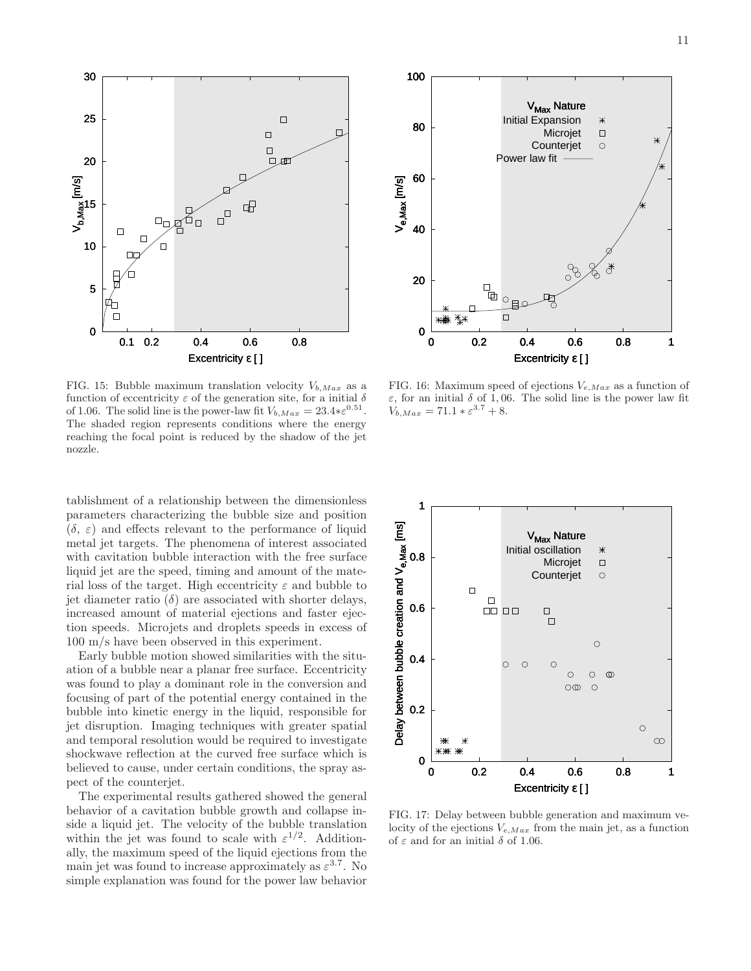

FIG. 15: Bubble maximum translation velocity  $V_{b,Max}$  as a function of eccentricity  $\varepsilon$  of the generation site, for a initial  $\delta$ of 1.06. The solid line is the power-law fit  $V_{b,Max} = 23.4 * \varepsilon^{0.51}$ . The shaded region represents conditions where the energy reaching the focal point is reduced by the shadow of the jet nozzle.

tablishment of a relationship between the dimensionless parameters characterizing the bubble size and position  $(\delta, \varepsilon)$  and effects relevant to the performance of liquid metal jet targets. The phenomena of interest associated with cavitation bubble interaction with the free surface liquid jet are the speed, timing and amount of the material loss of the target. High eccentricity  $\varepsilon$  and bubble to jet diameter ratio  $(\delta)$  are associated with shorter delays, increased amount of material ejections and faster ejection speeds. Microjets and droplets speeds in excess of 100 m/s have been observed in this experiment.

Early bubble motion showed similarities with the situation of a bubble near a planar free surface. Eccentricity was found to play a dominant role in the conversion and focusing of part of the potential energy contained in the bubble into kinetic energy in the liquid, responsible for jet disruption. Imaging techniques with greater spatial and temporal resolution would be required to investigate shockwave reflection at the curved free surface which is believed to cause, under certain conditions, the spray aspect of the counterjet.

The experimental results gathered showed the general behavior of a cavitation bubble growth and collapse inside a liquid jet. The velocity of the bubble translation within the jet was found to scale with  $\varepsilon^{1/2}$ . Additionally, the maximum speed of the liquid ejections from the main jet was found to increase approximately as  $\varepsilon^{3.7}$ . No simple explanation was found for the power law behavior



FIG. 16: Maximum speed of ejections  $V_{e,Max}$  as a function of ε, for an initial δ of 1, 06. The solid line is the power law fit  $V_{b,Max} = 71.1 * \varepsilon^{3.7} + 8.$ 



FIG. 17: Delay between bubble generation and maximum velocity of the ejections  $V_{e,Max}$  from the main jet, as a function of  $\varepsilon$  and for an initial  $\delta$  of 1.06.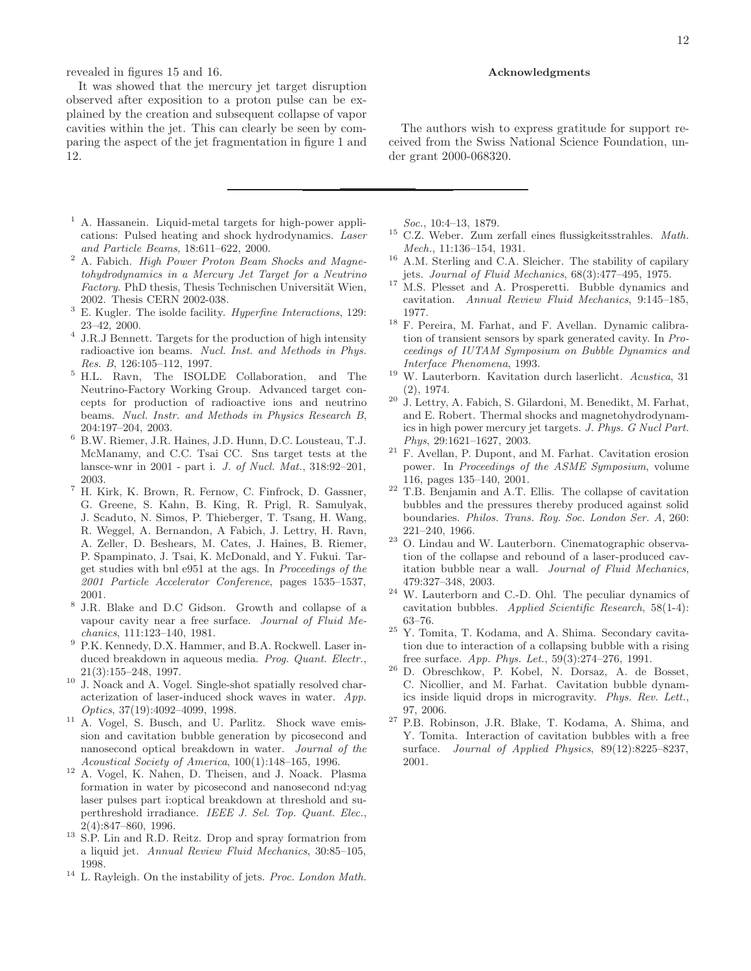revealed in figures 15 and 16.

It was showed that the mercury jet target disruption observed after exposition to a proton pulse can be explained by the creation and subsequent collapse of vapor cavities within the jet. This can clearly be seen by comparing the aspect of the jet fragmentation in figure 1 and 12.

- <sup>1</sup> A. Hassanein. Liquid-metal targets for high-power applications: Pulsed heating and shock hydrodynamics. Laser and Particle Beams, 18:611–622, 2000.
- <sup>2</sup> A. Fabich. High Power Proton Beam Shocks and Magnetohydrodynamics in a Mercury Jet Target for a Neutrino Factory. PhD thesis, Thesis Technischen Universität Wien, 2002. Thesis CERN 2002-038.
- $^3$  E. Kugler. The isolde facility. Hyperfine Interactions, 129: 23–42, 2000.
- 4 J.R.J Bennett. Targets for the production of high intensity radioactive ion beams. Nucl. Inst. and Methods in Phys. Res. B, 126:105–112, 1997.
- <sup>5</sup> H.L. Ravn, The ISOLDE Collaboration, and The Neutrino-Factory Working Group. Advanced target concepts for production of radioactive ions and neutrino beams. Nucl. Instr. and Methods in Physics Research B, 204:197–204, 2003.
- <sup>6</sup> B.W. Riemer, J.R. Haines, J.D. Hunn, D.C. Lousteau, T.J. McManamy, and C.C. Tsai CC. Sns target tests at the lansce-wnr in 2001 - part i. J. of Nucl. Mat., 318:92–201, 2003.
- <sup>7</sup> H. Kirk, K. Brown, R. Fernow, C. Finfrock, D. Gassner, G. Greene, S. Kahn, B. King, R. Prigl, R. Samulyak, J. Scaduto, N. Simos, P. Thieberger, T. Tsang, H. Wang, R. Weggel, A. Bernandon, A Fabich, J. Lettry, H. Ravn, A. Zeller, D. Beshears, M. Cates, J. Haines, B. Riemer, P. Spampinato, J. Tsai, K. McDonald, and Y. Fukui. Target studies with bnl e951 at the ags. In Proceedings of the 2001 Particle Accelerator Conference, pages 1535–1537, 2001.
- 8 J.R. Blake and D.C Gidson. Growth and collapse of a vapour cavity near a free surface. Journal of Fluid Mechanics, 111:123–140, 1981.
- <sup>9</sup> P.K. Kennedy, D.X. Hammer, and B.A. Rockwell. Laser induced breakdown in aqueous media. Prog. Quant. Electr., 21(3):155–248, 1997.
- $10\,$  J. Noack and A. Vogel. Single-shot spatially resolved characterization of laser-induced shock waves in water. App. Optics, 37(19):4092–4099, 1998.
- <sup>11</sup> A. Vogel, S. Busch, and U. Parlitz. Shock wave emission and cavitation bubble generation by picosecond and nanosecond optical breakdown in water. Journal of the Acoustical Society of America, 100(1):148–165, 1996.
- <sup>12</sup> A. Vogel, K. Nahen, D. Theisen, and J. Noack. Plasma formation in water by picosecond and nanosecond nd:yag laser pulses part i:optical breakdown at threshold and superthreshold irradiance. IEEE J. Sel. Top. Quant. Elec., 2(4):847–860, 1996.
- <sup>13</sup> S.P. Lin and R.D. Reitz. Drop and spray formatrion from a liquid jet. Annual Review Fluid Mechanics, 30:85–105, 1998.
- $^{14}\,$  L. Rayleigh. On the instability of jets. Proc. London Math.

## Acknowledgments

The authors wish to express gratitude for support received from the Swiss National Science Foundation, under grant 2000-068320.

Soc., 10:4–13, 1879.

- $15$  C.Z. Weber. Zum zerfall eines flussigkeitsstrahles. Math. Mech., 11:136–154, 1931.
- <sup>16</sup> A.M. Sterling and C.A. Sleicher. The stability of capilary jets. Journal of Fluid Mechanics, 68(3):477–495, 1975.
- <sup>17</sup> M.S. Plesset and A. Prosperetti. Bubble dynamics and cavitation. Annual Review Fluid Mechanics, 9:145–185, 1977.
- <sup>18</sup> F. Pereira, M. Farhat, and F. Avellan. Dynamic calibration of transient sensors by spark generated cavity. In Proceedings of IUTAM Symposium on Bubble Dynamics and Interface Phenomena, 1993.
- <sup>19</sup> W. Lauterborn. Kavitation durch laserlicht. Acustica, 31 (2), 1974.
- $20\,$  J. Lettry, A. Fabich, S. Gilardoni, M. Benedikt, M. Farhat, and E. Robert. Thermal shocks and magnetohydrodynamics in high power mercury jet targets. J. Phys. G Nucl Part. Phys, 29:1621–1627, 2003.
- <sup>21</sup> F. Avellan, P. Dupont, and M. Farhat. Cavitation erosion power. In Proceedings of the ASME Symposium, volume 116, pages 135–140, 2001.
- <sup>22</sup> T.B. Benjamin and A.T. Ellis. The collapse of cavitation bubbles and the pressures thereby produced against solid boundaries. Philos. Trans. Roy. Soc. London Ser. A, 260: 221–240, 1966.
- <sup>23</sup> O. Lindau and W. Lauterborn. Cinematographic observation of the collapse and rebound of a laser-produced cavitation bubble near a wall. Journal of Fluid Mechanics, 479:327–348, 2003.
- <sup>24</sup> W. Lauterborn and C.-D. Ohl. The peculiar dynamics of cavitation bubbles. Applied Scientific Research, 58(1-4): 63–76.
- $^{25}$  Y. Tomita, T. Kodama, and A. Shima. Secondary cavitation due to interaction of a collapsing bubble with a rising free surface. App. Phys. Let., 59(3):274–276, 1991.
- <sup>26</sup> D. Obreschkow, P. Kobel, N. Dorsaz, A. de Bosset, C. Nicollier, and M. Farhat. Cavitation bubble dynamics inside liquid drops in microgravity. Phys. Rev. Lett., 97, 2006.
- <sup>27</sup> P.B. Robinson, J.R. Blake, T. Kodama, A. Shima, and Y. Tomita. Interaction of cavitation bubbles with a free surface. Journal of Applied Physics, 89(12):8225–8237, 2001.